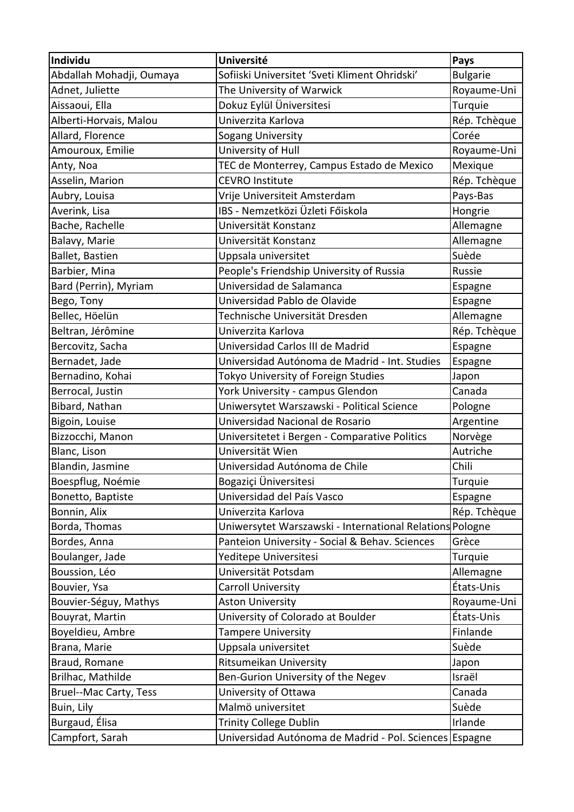| Individu                      | <b>Université</b>                                        | Pays            |
|-------------------------------|----------------------------------------------------------|-----------------|
| Abdallah Mohadji, Oumaya      | Sofiiski Universitet 'Sveti Kliment Ohridski'            | <b>Bulgarie</b> |
| Adnet, Juliette               | The University of Warwick                                | Royaume-Uni     |
| Aissaoui, Ella                | Dokuz Eylül Üniversitesi                                 | Turquie         |
| Alberti-Horvais, Malou        | Univerzita Karlova                                       | Rép. Tchèque    |
| Allard, Florence              | Sogang University                                        | Corée           |
| Amouroux, Emilie              | University of Hull                                       | Royaume-Uni     |
| Anty, Noa                     | TEC de Monterrey, Campus Estado de Mexico                | Mexique         |
| Asselin, Marion               | <b>CEVRO Institute</b>                                   | Rép. Tchèque    |
| Aubry, Louisa                 | Vrije Universiteit Amsterdam                             | Pays-Bas        |
| Averink, Lisa                 | IBS - Nemzetközi Üzleti Főiskola                         | Hongrie         |
| Bache, Rachelle               | Universität Konstanz                                     | Allemagne       |
| Balavy, Marie                 | Universität Konstanz                                     | Allemagne       |
| Ballet, Bastien               | Uppsala universitet                                      | Suède           |
| Barbier, Mina                 | People's Friendship University of Russia                 | Russie          |
| Bard (Perrin), Myriam         | Universidad de Salamanca                                 | Espagne         |
| Bego, Tony                    | Universidad Pablo de Olavide                             | Espagne         |
| Bellec, Höelün                | Technische Universität Dresden                           | Allemagne       |
| Beltran, Jérômine             | Univerzita Karlova                                       | Rép. Tchèque    |
| Bercovitz, Sacha              | Universidad Carlos III de Madrid                         | Espagne         |
| Bernadet, Jade                | Universidad Autónoma de Madrid - Int. Studies            | Espagne         |
| Bernadino, Kohai              | Tokyo University of Foreign Studies                      | Japon           |
| Berrocal, Justin              | York University - campus Glendon                         | Canada          |
| Bibard, Nathan                | Uniwersytet Warszawski - Political Science               | Pologne         |
| Bigoin, Louise                | Universidad Nacional de Rosario                          | Argentine       |
| Bizzocchi, Manon              | Universitetet i Bergen - Comparative Politics            | Norvège         |
| Blanc, Lison                  | Universität Wien                                         | Autriche        |
| Blandin, Jasmine              | Universidad Autónoma de Chile                            | Chili           |
| Boespflug, Noémie             | Bogaziçi Üniversitesi                                    | Turquie         |
| Bonetto, Baptiste             | Universidad del País Vasco                               | Espagne         |
| Bonnin, Alix                  | Univerzita Karlova                                       | Rép. Tchèque    |
| Borda, Thomas                 | Uniwersytet Warszawski - International Relations Pologne |                 |
| Bordes, Anna                  | Panteion University - Social & Behav. Sciences           | Grèce           |
| Boulanger, Jade               | Yeditepe Universitesi                                    | Turquie         |
| Boussion, Léo                 | Universität Potsdam                                      | Allemagne       |
| Bouvier, Ysa                  | Carroll University                                       | États-Unis      |
| Bouvier-Séguy, Mathys         | <b>Aston University</b>                                  | Royaume-Uni     |
| Bouyrat, Martin               | University of Colorado at Boulder                        | États-Unis      |
| Boyeldieu, Ambre              | <b>Tampere University</b>                                | Finlande        |
| Brana, Marie                  | Uppsala universitet                                      | Suède           |
| Braud, Romane                 | Ritsumeikan University                                   | Japon           |
| Brilhac, Mathilde             | Ben-Gurion University of the Negev                       | Israël          |
| <b>Bruel--Mac Carty, Tess</b> | University of Ottawa                                     | Canada          |
| Buin, Lily                    | Malmö universitet                                        | Suède           |
| Burgaud, Élisa                | <b>Trinity College Dublin</b>                            | Irlande         |
| Campfort, Sarah               | Universidad Autónoma de Madrid - Pol. Sciences Espagne   |                 |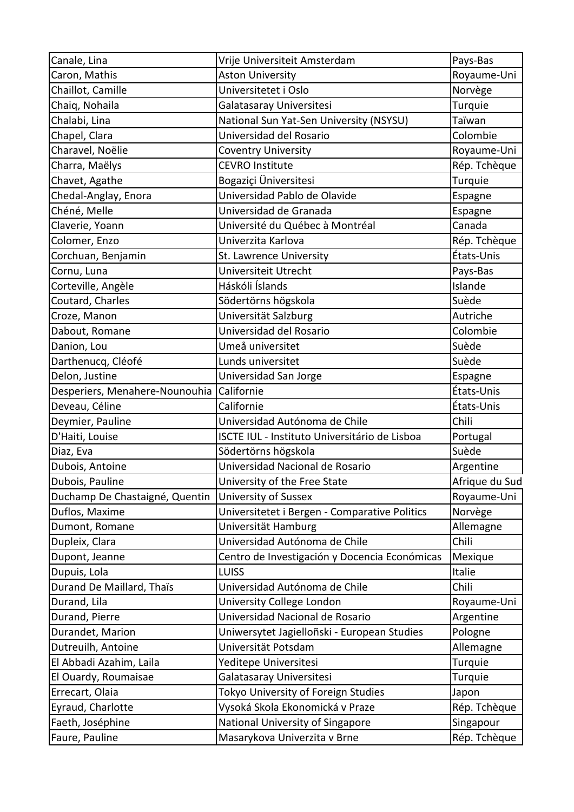| Canale, Lina                   | Vrije Universiteit Amsterdam                  | Pays-Bas       |
|--------------------------------|-----------------------------------------------|----------------|
| Caron, Mathis                  | <b>Aston University</b>                       | Royaume-Uni    |
| Chaillot, Camille              | Universitetet i Oslo                          | Norvège        |
| Chaiq, Nohaila                 | Galatasaray Universitesi                      | Turquie        |
| Chalabi, Lina                  | National Sun Yat-Sen University (NSYSU)       | Taïwan         |
| Chapel, Clara                  | Universidad del Rosario                       | Colombie       |
| Charavel, Noëlie               | Coventry University                           | Royaume-Uni    |
| Charra, Maëlys                 | <b>CEVRO Institute</b>                        | Rép. Tchèque   |
| Chavet, Agathe                 | Bogaziçi Üniversitesi                         | Turquie        |
| Chedal-Anglay, Enora           | Universidad Pablo de Olavide                  | Espagne        |
| Chéné, Melle                   | Universidad de Granada                        | Espagne        |
| Claverie, Yoann                | Université du Québec à Montréal               | Canada         |
| Colomer, Enzo                  | Univerzita Karlova                            | Rép. Tchèque   |
| Corchuan, Benjamin             | St. Lawrence University                       | États-Unis     |
| Cornu, Luna                    | Universiteit Utrecht                          | Pays-Bas       |
| Corteville, Angèle             | Háskóli Íslands                               | Islande        |
| Coutard, Charles               | Södertörns högskola                           | Suède          |
| Croze, Manon                   | Universität Salzburg                          | Autriche       |
| Dabout, Romane                 | Universidad del Rosario                       | Colombie       |
| Danion, Lou                    | Umeå universitet                              | Suède          |
| Darthenucq, Cléofé             | Lunds universitet                             | Suède          |
| Delon, Justine                 | Universidad San Jorge                         | Espagne        |
| Desperiers, Menahere-Nounouhia | Californie                                    | États-Unis     |
| Deveau, Céline                 | Californie                                    | États-Unis     |
| Deymier, Pauline               | Universidad Autónoma de Chile                 | Chili          |
| D'Haiti, Louise                | ISCTE IUL - Instituto Universitário de Lisboa | Portugal       |
| Diaz, Eva                      | Södertörns högskola                           | Suède          |
| Dubois, Antoine                | Universidad Nacional de Rosario               | Argentine      |
| Dubois, Pauline                | University of the Free State                  | Afrique du Sud |
| Duchamp De Chastaigné, Quentin | University of Sussex                          | Royaume-Uni    |
| Duflos, Maxime                 | Universitetet i Bergen - Comparative Politics | Norvège        |
| Dumont, Romane                 | Universität Hamburg                           | Allemagne      |
| Dupleix, Clara                 | Universidad Autónoma de Chile                 | Chili          |
| Dupont, Jeanne                 | Centro de Investigación y Docencia Económicas | Mexique        |
| Dupuis, Lola                   | <b>LUISS</b>                                  | Italie         |
| Durand De Maillard, Thaïs      | Universidad Autónoma de Chile                 | Chili          |
| Durand, Lila                   | University College London                     | Royaume-Uni    |
| Durand, Pierre                 | Universidad Nacional de Rosario               | Argentine      |
| Durandet, Marion               | Uniwersytet Jagielloñski - European Studies   | Pologne        |
| Dutreuilh, Antoine             | Universität Potsdam                           | Allemagne      |
| El Abbadi Azahim, Laila        | Yeditepe Universitesi                         | Turquie        |
| El Ouardy, Roumaisae           | Galatasaray Universitesi                      | Turquie        |
| Errecart, Olaia                | Tokyo University of Foreign Studies           | Japon          |
| Eyraud, Charlotte              | Vysoká Skola Ekonomická v Praze               | Rép. Tchèque   |
| Faeth, Joséphine               | National University of Singapore              | Singapour      |
| Faure, Pauline                 | Masarykova Univerzita v Brne                  | Rép. Tchèque   |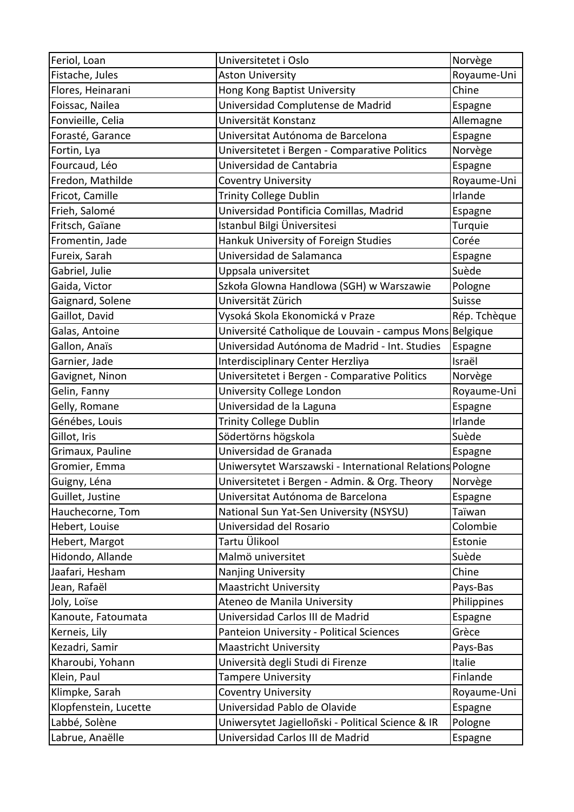| Feriol, Loan          | Universitetet i Oslo                                     | Norvège      |
|-----------------------|----------------------------------------------------------|--------------|
| Fistache, Jules       | <b>Aston University</b>                                  | Royaume-Uni  |
| Flores, Heinarani     | Hong Kong Baptist University                             | Chine        |
| Foissac, Nailea       | Universidad Complutense de Madrid                        | Espagne      |
| Fonvieille, Celia     | Universität Konstanz                                     | Allemagne    |
| Forasté, Garance      | Universitat Autónoma de Barcelona                        | Espagne      |
| Fortin, Lya           | Universitetet i Bergen - Comparative Politics            | Norvège      |
| Fourcaud, Léo         | Universidad de Cantabria                                 | Espagne      |
| Fredon, Mathilde      | Coventry University                                      | Royaume-Uni  |
| Fricot, Camille       | <b>Trinity College Dublin</b>                            | Irlande      |
| Frieh, Salomé         | Universidad Pontificia Comillas, Madrid                  | Espagne      |
| Fritsch, Gaïane       | Istanbul Bilgi Üniversitesi                              | Turquie      |
| Fromentin, Jade       | Hankuk University of Foreign Studies                     | Corée        |
| Fureix, Sarah         | Universidad de Salamanca                                 | Espagne      |
| Gabriel, Julie        | Uppsala universitet                                      | Suède        |
| Gaida, Victor         | Szkoła Glowna Handlowa (SGH) w Warszawie                 | Pologne      |
| Gaignard, Solene      | Universität Zürich                                       | Suisse       |
| Gaillot, David        | Vysoká Skola Ekonomická v Praze                          | Rép. Tchèque |
| Galas, Antoine        | Université Catholique de Louvain - campus Mons Belgique  |              |
| Gallon, Anaïs         | Universidad Autónoma de Madrid - Int. Studies            | Espagne      |
| Garnier, Jade         | Interdisciplinary Center Herzliya                        | Israël       |
| Gavignet, Ninon       | Universitetet i Bergen - Comparative Politics            | Norvège      |
| Gelin, Fanny          | University College London                                | Royaume-Uni  |
| Gelly, Romane         | Universidad de la Laguna                                 | Espagne      |
| Génébes, Louis        | <b>Trinity College Dublin</b>                            | Irlande      |
| Gillot, Iris          | Södertörns högskola                                      | Suède        |
| Grimaux, Pauline      | Universidad de Granada                                   | Espagne      |
| Gromier, Emma         | Uniwersytet Warszawski - International Relations Pologne |              |
| Guigny, Léna          | Universitetet i Bergen - Admin. & Org. Theory            | Norvège      |
| Guillet, Justine      | Universitat Autónoma de Barcelona                        | Espagne      |
| Hauchecorne, Tom      | National Sun Yat-Sen University (NSYSU)                  | Taïwan       |
| Hebert, Louise        | Universidad del Rosario                                  | Colombie     |
| Hebert, Margot        | Tartu Ülikool                                            | Estonie      |
| Hidondo, Allande      | Malmö universitet                                        | Suède        |
| Jaafari, Hesham       | Nanjing University                                       | Chine        |
| Jean, Rafaël          | <b>Maastricht University</b>                             | Pays-Bas     |
| Joly, Loïse           | Ateneo de Manila University                              | Philippines  |
| Kanoute, Fatoumata    | Universidad Carlos III de Madrid                         | Espagne      |
| Kerneis, Lily         | Panteion University - Political Sciences                 | Grèce        |
| Kezadri, Samir        | <b>Maastricht University</b>                             | Pays-Bas     |
| Kharoubi, Yohann      | Università degli Studi di Firenze                        | Italie       |
| Klein, Paul           | <b>Tampere University</b>                                | Finlande     |
| Klimpke, Sarah        | <b>Coventry University</b>                               | Royaume-Uni  |
| Klopfenstein, Lucette | Universidad Pablo de Olavide                             | Espagne      |
| Labbé, Solène         | Uniwersytet Jagielloñski - Political Science & IR        | Pologne      |
| Labrue, Anaëlle       | Universidad Carlos III de Madrid                         | Espagne      |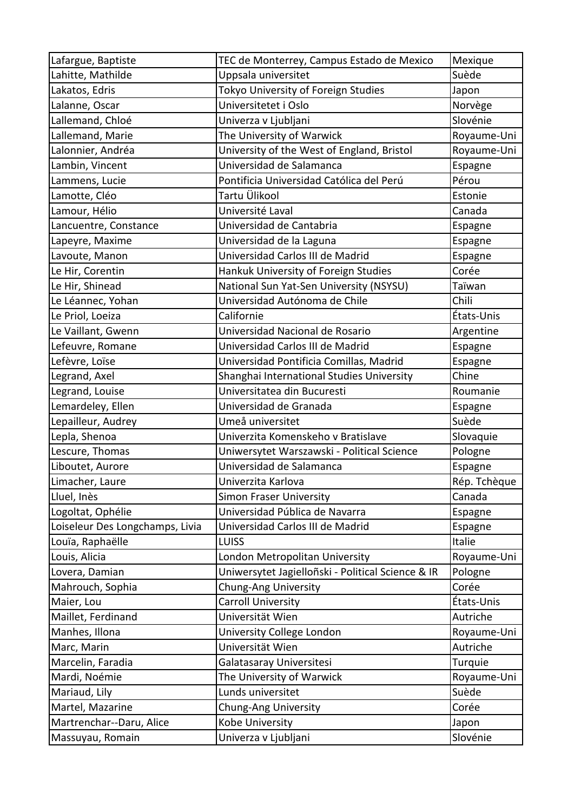| Lafargue, Baptiste              | TEC de Monterrey, Campus Estado de Mexico         | Mexique      |
|---------------------------------|---------------------------------------------------|--------------|
| Lahitte, Mathilde               | Uppsala universitet                               | Suède        |
| Lakatos, Edris                  | Tokyo University of Foreign Studies               | Japon        |
| Lalanne, Oscar                  | Universitetet i Oslo                              | Norvège      |
| Lallemand, Chloé                | Univerza v Ljubljani                              | Slovénie     |
| Lallemand, Marie                | The University of Warwick                         | Royaume-Uni  |
| Lalonnier, Andréa               | University of the West of England, Bristol        | Royaume-Uni  |
| Lambin, Vincent                 | Universidad de Salamanca                          | Espagne      |
| Lammens, Lucie                  | Pontificia Universidad Católica del Perú          | Pérou        |
| Lamotte, Cléo                   | Tartu Ülikool                                     | Estonie      |
| Lamour, Hélio                   | Université Laval                                  | Canada       |
| Lancuentre, Constance           | Universidad de Cantabria                          | Espagne      |
| Lapeyre, Maxime                 | Universidad de la Laguna                          | Espagne      |
| Lavoute, Manon                  | Universidad Carlos III de Madrid                  | Espagne      |
| Le Hir, Corentin                | Hankuk University of Foreign Studies              | Corée        |
| Le Hir, Shinead                 | National Sun Yat-Sen University (NSYSU)           | Taïwan       |
| Le Léannec, Yohan               | Universidad Autónoma de Chile                     | Chili        |
| Le Priol, Loeiza                | Californie                                        | États-Unis   |
| Le Vaillant, Gwenn              | Universidad Nacional de Rosario                   | Argentine    |
| Lefeuvre, Romane                | Universidad Carlos III de Madrid                  | Espagne      |
| Lefèvre, Loïse                  | Universidad Pontificia Comillas, Madrid           | Espagne      |
| Legrand, Axel                   | Shanghai International Studies University         | Chine        |
| Legrand, Louise                 | Universitatea din Bucuresti                       | Roumanie     |
| Lemardeley, Ellen               | Universidad de Granada                            | Espagne      |
| Lepailleur, Audrey              | Umeå universitet                                  | Suède        |
| Lepla, Shenoa                   | Univerzita Komenskeho v Bratislave                | Slovaquie    |
| Lescure, Thomas                 | Uniwersytet Warszawski - Political Science        | Pologne      |
| Liboutet, Aurore                | Universidad de Salamanca                          | Espagne      |
| Limacher, Laure                 | Univerzita Karlova                                | Rép. Tchèque |
| Lluel, Inès                     | <b>Simon Fraser University</b>                    | Canada       |
| Logoltat, Ophélie               | Universidad Pública de Navarra                    | Espagne      |
| Loiseleur Des Longchamps, Livia | Universidad Carlos III de Madrid                  | Espagne      |
| Louïa, Raphaëlle                | <b>LUISS</b>                                      | Italie       |
| Louis, Alicia                   | London Metropolitan University                    | Royaume-Uni  |
| Lovera, Damian                  | Uniwersytet Jagielloñski - Political Science & IR | Pologne      |
| Mahrouch, Sophia                | Chung-Ang University                              | Corée        |
| Maier, Lou                      | Carroll University                                | États-Unis   |
| Maillet, Ferdinand              | Universität Wien                                  | Autriche     |
| Manhes, Illona                  | University College London                         | Royaume-Uni  |
| Marc, Marin                     | Universität Wien                                  | Autriche     |
| Marcelin, Faradia               | Galatasaray Universitesi                          | Turquie      |
| Mardi, Noémie                   | The University of Warwick                         | Royaume-Uni  |
| Mariaud, Lily                   | Lunds universitet                                 | Suède        |
| Martel, Mazarine                | Chung-Ang University                              | Corée        |
| Martrenchar--Daru, Alice        | Kobe University                                   | Japon        |
| Massuyau, Romain                | Univerza v Ljubljani                              | Slovénie     |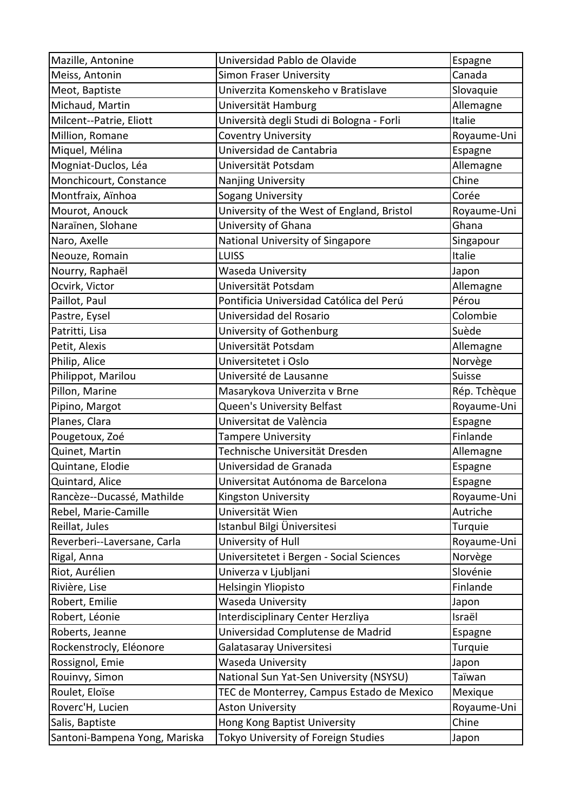| Mazille, Antonine             | Universidad Pablo de Olavide               | Espagne      |
|-------------------------------|--------------------------------------------|--------------|
| Meiss, Antonin                | Simon Fraser University                    | Canada       |
| Meot, Baptiste                | Univerzita Komenskeho v Bratislave         | Slovaquie    |
| Michaud, Martin               | Universität Hamburg                        | Allemagne    |
| Milcent--Patrie, Eliott       | Università degli Studi di Bologna - Forli  | Italie       |
| Million, Romane               | Coventry University                        | Royaume-Uni  |
| Miquel, Mélina                | Universidad de Cantabria                   | Espagne      |
| Mogniat-Duclos, Léa           | Universität Potsdam                        | Allemagne    |
| Monchicourt, Constance        | Nanjing University                         | Chine        |
| Montfraix, Aïnhoa             | Sogang University                          | Corée        |
| Mourot, Anouck                | University of the West of England, Bristol | Royaume-Uni  |
| Naraïnen, Slohane             | University of Ghana                        | Ghana        |
| Naro, Axelle                  | National University of Singapore           | Singapour    |
| Neouze, Romain                | <b>LUISS</b>                               | Italie       |
| Nourry, Raphaël               | Waseda University                          | Japon        |
| Ocvirk, Victor                | Universität Potsdam                        | Allemagne    |
| Paillot, Paul                 | Pontificia Universidad Católica del Perú   | Pérou        |
| Pastre, Eysel                 | Universidad del Rosario                    | Colombie     |
| Patritti, Lisa                | University of Gothenburg                   | Suède        |
| Petit, Alexis                 | Universität Potsdam                        | Allemagne    |
| Philip, Alice                 | Universitetet i Oslo                       | Norvège      |
| Philippot, Marilou            | Université de Lausanne                     | Suisse       |
| Pillon, Marine                | Masarykova Univerzita v Brne               | Rép. Tchèque |
| Pipino, Margot                | Queen's University Belfast                 | Royaume-Uni  |
| Planes, Clara                 | Universitat de València                    | Espagne      |
| Pougetoux, Zoé                | <b>Tampere University</b>                  | Finlande     |
| Quinet, Martin                | Technische Universität Dresden             | Allemagne    |
| Quintane, Elodie              | Universidad de Granada                     | Espagne      |
| Quintard, Alice               | Universitat Autónoma de Barcelona          | Espagne      |
| Rancèze--Ducassé, Mathilde    | Kingston University                        | Royaume-Uni  |
| Rebel, Marie-Camille          | Universität Wien                           | Autriche     |
| Reillat, Jules                | Istanbul Bilgi Üniversitesi                | Turquie      |
| Reverberi--Laversane, Carla   | University of Hull                         | Royaume-Uni  |
| Rigal, Anna                   | Universitetet i Bergen - Social Sciences   | Norvège      |
| Riot, Aurélien                | Univerza v Ljubljani                       | Slovénie     |
| Rivière, Lise                 | Helsingin Yliopisto                        | Finlande     |
| Robert, Emilie                | Waseda University                          | Japon        |
| Robert, Léonie                | Interdisciplinary Center Herzliya          | Israël       |
| Roberts, Jeanne               | Universidad Complutense de Madrid          | Espagne      |
| Rockenstrocly, Eléonore       | Galatasaray Universitesi                   | Turquie      |
| Rossignol, Emie               | Waseda University                          | Japon        |
| Rouinvy, Simon                | National Sun Yat-Sen University (NSYSU)    | Taïwan       |
| Roulet, Eloïse                | TEC de Monterrey, Campus Estado de Mexico  | Mexique      |
| Roverc'H, Lucien              | <b>Aston University</b>                    | Royaume-Uni  |
| Salis, Baptiste               | Hong Kong Baptist University               | Chine        |
| Santoni-Bampena Yong, Mariska | Tokyo University of Foreign Studies        | Japon        |